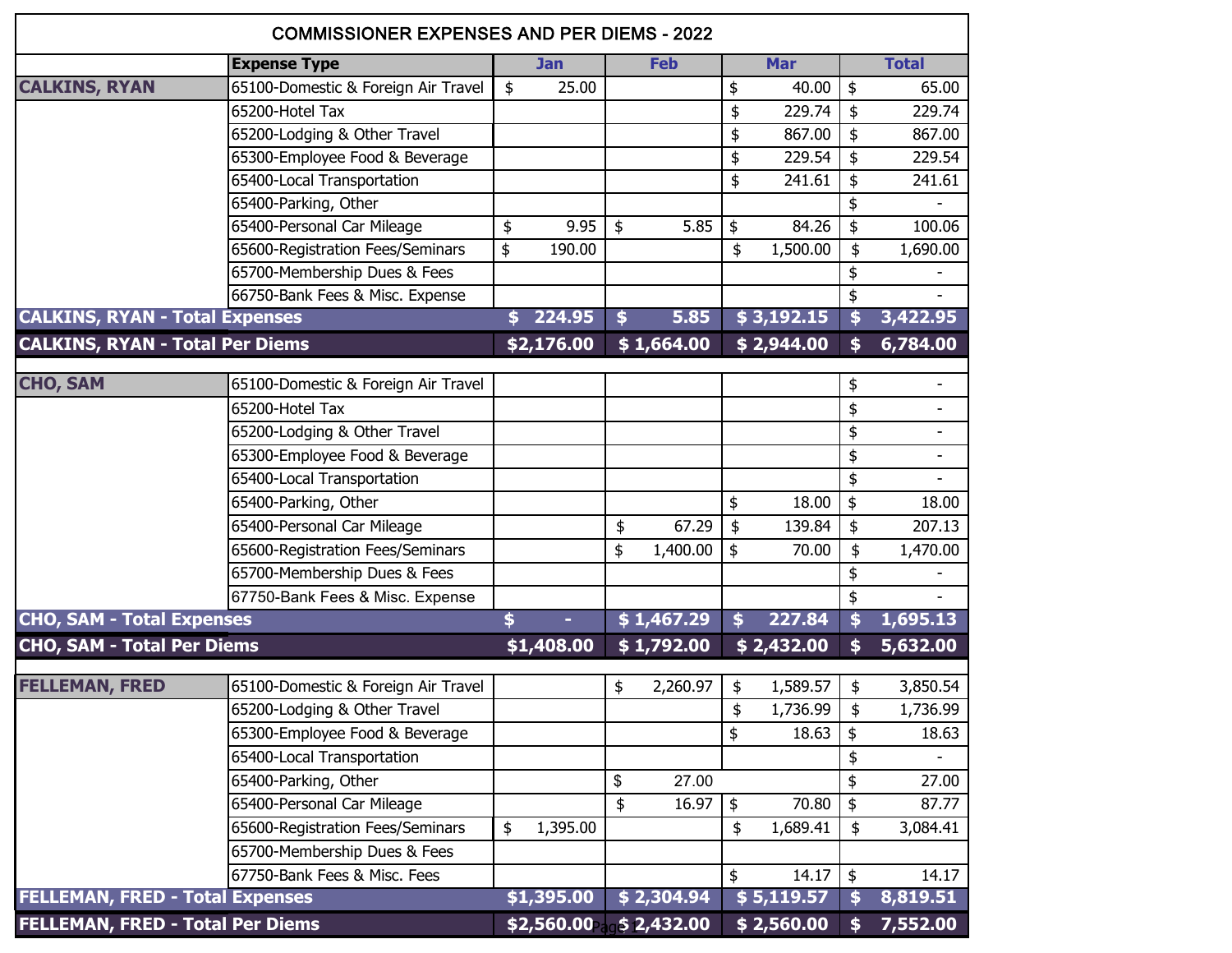| <b>COMMISSIONER EXPENSES AND PER DIEMS - 2022</b> |                                     |    |                        |    |            |            |               |               |                               |  |  |
|---------------------------------------------------|-------------------------------------|----|------------------------|----|------------|------------|---------------|---------------|-------------------------------|--|--|
|                                                   | <b>Expense Type</b>                 |    | <b>Jan</b>             |    | <b>Feb</b> | <b>Mar</b> |               |               | <b>Total</b>                  |  |  |
| <b>CALKINS, RYAN</b>                              | 65100-Domestic & Foreign Air Travel | \$ | 25.00                  |    |            | \$         | 40.00         | \$            | 65.00                         |  |  |
|                                                   | 65200-Hotel Tax                     |    |                        |    |            | \$         | 229.74        | \$            | 229.74                        |  |  |
|                                                   | 65200-Lodging & Other Travel        |    |                        |    |            | \$         | 867.00        | \$            | 867.00                        |  |  |
|                                                   | 65300-Employee Food & Beverage      |    |                        |    |            | \$         | 229.54        | \$            | 229.54                        |  |  |
|                                                   | 65400-Local Transportation          |    |                        |    |            | \$         | 241.61        | \$            | 241.61                        |  |  |
|                                                   | 65400-Parking, Other                |    |                        |    |            |            |               | \$            |                               |  |  |
|                                                   | 65400-Personal Car Mileage          | \$ | 9.95                   | \$ | 5.85       | \$         | 84.26         | \$            | 100.06                        |  |  |
|                                                   | 65600-Registration Fees/Seminars    | \$ | 190.00                 |    |            | \$         | 1,500.00      | \$            | 1,690.00                      |  |  |
|                                                   | 65700-Membership Dues & Fees        |    |                        |    |            |            |               | \$            |                               |  |  |
|                                                   | 66750-Bank Fees & Misc. Expense     |    |                        |    |            |            |               | \$            |                               |  |  |
| <b>CALKINS, RYAN - Total Expenses</b>             |                                     |    | 224.95                 | \$ | 5.85       |            | \$3,192.15    | \$            | 3,422.95                      |  |  |
| <b>CALKINS, RYAN - Total Per Diems</b>            |                                     |    | \$2,176.00             |    | \$1,664.00 |            | \$2,944.00    | \$            | 6,784.00                      |  |  |
| <b>CHO, SAM</b>                                   | 65100-Domestic & Foreign Air Travel |    |                        |    |            |            |               |               |                               |  |  |
|                                                   | 65200-Hotel Tax                     |    |                        |    |            |            |               | \$            | $\overline{\phantom{a}}$<br>٠ |  |  |
|                                                   |                                     |    |                        |    |            |            |               | \$            |                               |  |  |
|                                                   | 65200-Lodging & Other Travel        |    |                        |    |            |            |               | \$            | $\overline{\phantom{a}}$      |  |  |
|                                                   | 65300-Employee Food & Beverage      |    |                        |    |            |            |               | \$            | $\overline{\phantom{a}}$      |  |  |
|                                                   | 65400-Local Transportation          |    |                        |    |            |            | 18.00         | \$            |                               |  |  |
|                                                   | 65400-Parking, Other                |    |                        |    |            | \$         |               | \$            | 18.00                         |  |  |
|                                                   | 65400-Personal Car Mileage          |    |                        | \$ | 67.29      | \$         | 139.84        | \$            | 207.13                        |  |  |
|                                                   | 65600-Registration Fees/Seminars    |    |                        | \$ | 1,400.00   | \$         | 70.00         | \$            | 1,470.00                      |  |  |
|                                                   | 65700-Membership Dues & Fees        |    |                        |    |            |            |               | \$            |                               |  |  |
|                                                   | 67750-Bank Fees & Misc. Expense     |    |                        |    |            |            |               | \$            |                               |  |  |
| <b>CHO, SAM - Total Expenses</b>                  |                                     | \$ |                        |    | \$1,467.29 | \$         | 227.84        | \$            | 1,695.13                      |  |  |
| <b>CHO, SAM - Total Per Diems</b>                 |                                     |    | \$1,408.00             |    | \$1,792.00 |            | \$2,432.00    | \$            | 5,632.00                      |  |  |
| <b>FELLEMAN, FRED</b>                             | 65100-Domestic & Foreign Air Travel |    |                        | \$ | 2,260.97   | \$         | 1,589.57      | \$            | 3,850.54                      |  |  |
|                                                   | 65200-Lodging & Other Travel        |    |                        |    |            | \$         | $1,736.99$ \$ |               | 1,736.99                      |  |  |
|                                                   | 65300-Employee Food & Beverage      |    |                        |    |            | \$         | 18.63         | \$            | 18.63                         |  |  |
|                                                   | 65400-Local Transportation          |    |                        |    |            |            |               | \$            |                               |  |  |
|                                                   | 65400-Parking, Other                |    |                        | \$ | 27.00      |            |               | \$            | 27.00                         |  |  |
|                                                   | 65400-Personal Car Mileage          |    |                        | \$ | 16.97      | \$         | 70.80         | $\frac{1}{2}$ | 87.77                         |  |  |
|                                                   | 65600-Registration Fees/Seminars    | \$ | 1,395.00               |    |            | \$         | 1,689.41      | \$            | 3,084.41                      |  |  |
|                                                   | 65700-Membership Dues & Fees        |    |                        |    |            |            |               |               |                               |  |  |
|                                                   | 67750-Bank Fees & Misc. Fees        |    |                        |    |            | \$         | 14.17         | \$            | 14.17                         |  |  |
| <b>FELLEMAN, FRED - Total Expenses</b>            |                                     |    | \$1,395.00             |    | \$2,304.94 |            | \$5,119.57    | \$            | 8,819.51                      |  |  |
| FELLEMAN, FRED - Total Per Diems                  |                                     |    | \$2,560.00 \$ 2,432.00 |    |            |            | \$2,560.00    | \$            | 7,552.00                      |  |  |